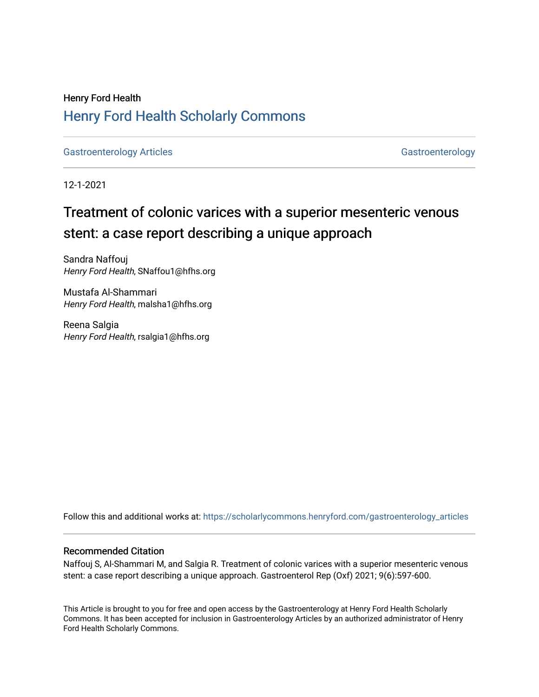## Henry Ford Health [Henry Ford Health Scholarly Commons](https://scholarlycommons.henryford.com/)

[Gastroenterology Articles](https://scholarlycommons.henryford.com/gastroenterology_articles) [Gastroenterology](https://scholarlycommons.henryford.com/gastroenterology) Articles

12-1-2021

## Treatment of colonic varices with a superior mesenteric venous stent: a case report describing a unique approach

Sandra Naffouj Henry Ford Health, SNaffou1@hfhs.org

Mustafa Al-Shammari Henry Ford Health, malsha1@hfhs.org

Reena Salgia Henry Ford Health, rsalgia1@hfhs.org

Follow this and additional works at: [https://scholarlycommons.henryford.com/gastroenterology\\_articles](https://scholarlycommons.henryford.com/gastroenterology_articles?utm_source=scholarlycommons.henryford.com%2Fgastroenterology_articles%2F239&utm_medium=PDF&utm_campaign=PDFCoverPages) 

#### Recommended Citation

Naffouj S, Al-Shammari M, and Salgia R. Treatment of colonic varices with a superior mesenteric venous stent: a case report describing a unique approach. Gastroenterol Rep (Oxf) 2021; 9(6):597-600.

This Article is brought to you for free and open access by the Gastroenterology at Henry Ford Health Scholarly Commons. It has been accepted for inclusion in Gastroenterology Articles by an authorized administrator of Henry Ford Health Scholarly Commons.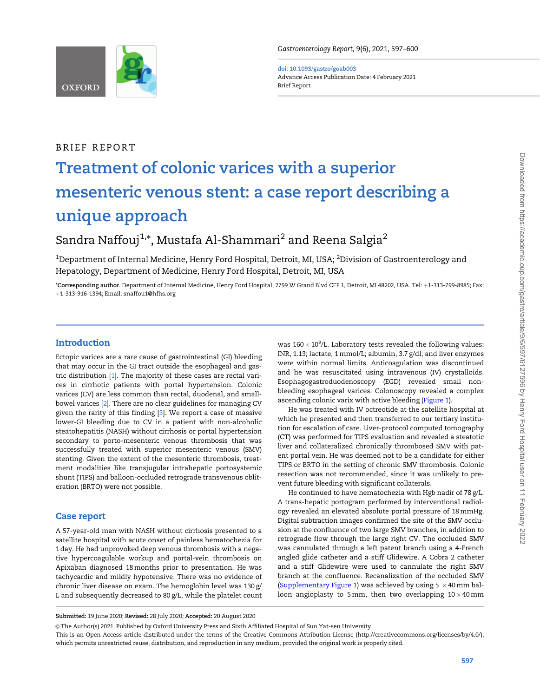<span id="page-1-0"></span>

doi: 10.1093/gastro/goab003 Advance Access Publication Date: 4 February 2021 Brief Report

#### BRIEF REPORT

# Treatment of colonic varices with a superior mesenteric venous stent: a case report describing a unique approach

### Sandra Naffouj<sup>1,\*</sup>, Mustafa Al-Shammari<sup>2</sup> and Reena Salgia<sup>2</sup>

 $^{\rm 1}$ Department of Internal Medicine, Henry Ford Hospital, Detroit, MI, USA;  $^{\rm 2}$ Division of Gastroenterology and Hepatology, Department of Medicine, Henry Ford Hospital, Detroit, MI, USA

\*Corresponding author. Department of Internal Medicine, Henry Ford Hospital, 2799 W Grand Blvd CFP 1, Detroit, MI 48202, USA. Tel: þ1-313-799-8985; Fax: þ1-313-916-1394; Email: snaffou1@hfhs.org

#### Introduction

Ectopic varices are a rare cause of gastrointestinal (GI) bleeding that may occur in the GI tract outside the esophageal and gastric distribution [[1](#page-2-0)]. The majority of these cases are rectal varices in cirrhotic patients with portal hypertension. Colonic varices (CV) are less common than rectal, duodenal, and smallbowel varices [\[2](#page-2-0)]. There are no clear guidelines for managing CV given the rarity of this finding [[3\]](#page-3-0). We report a case of massive lower-GI bleeding due to CV in a patient with non-alcoholic steatohepatitis (NASH) without cirrhosis or portal hypertension secondary to porto-mesenteric venous thrombosis that was successfully treated with superior mesenteric venous (SMV) stenting. Given the extent of the mesenteric thrombosis, treatment modalities like transjugular intrahepatic portosystemic shunt (TIPS) and balloon-occluded retrograde transvenous obliteration (BRTO) were not possible.

#### Case report

A 57-year-old man with NASH without cirrhosis presented to a satellite hospital with acute onset of painless hematochezia for 1 day. He had unprovoked deep venous thrombosis with a negative hypercoagulable workup and portal-vein thrombosis on Apixaban diagnosed 18 months prior to presentation. He was tachycardic and mildly hypotensive. There was no evidence of chronic liver disease on exam. The hemoglobin level was 130 g/ L and subsequently decreased to 80 g/L, while the platelet count

was  $160 \times 10^9$ /L. Laboratory tests revealed the following values: INR, 1.13; lactate, 1 mmol/L; albumin, 3.7 g/dl; and liver enzymes were within normal limits. Anticoagulation was discontinued and he was resuscitated using intravenous (IV) crystalloids. Esophagogastroduodenoscopy (EGD) revealed small nonbleeding esophageal varices. Colonoscopy revealed a complex ascending colonic varix with active bleeding [\(Figure 1](#page-2-0)).

He was treated with IV octreotide at the satellite hospital at which he presented and then transferred to our tertiary institution for escalation of care. Liver-protocol computed tomography (CT) was performed for TIPS evaluation and revealed a steatotic liver and collateralized chronically thrombosed SMV with patent portal vein. He was deemed not to be a candidate for either TIPS or BRTO in the setting of chronic SMV thrombosis. Colonic resection was not recommended, since it was unlikely to prevent future bleeding with significant collaterals.

He continued to have hematochezia with Hgb nadir of 78 g/L. A trans-hepatic portogram performed by interventional radiology revealed an elevated absolute portal pressure of 18 mmHg. Digital subtraction images confirmed the site of the SMV occlusion at the confluence of two large SMV branches, in addition to retrograde flow through the large right CV. The occluded SMV was cannulated through a left patent branch using a 4-French angled glide catheter and a stiff Glidewire. A Cobra 2 catheter and a stiff Glidewire were used to cannulate the right SMV branch at the confluence. Recanalization of the occluded SMV [\(Supplementary Figure 1\)](https://academic.oup.com/gastro/article-lookup/doi/10.1093/gastro/goab003#supplementary-data) was achieved by using 5  $\times$  40 mm balloon angioplasty to 5 $\,$ mm, then two overlapping 10 $\times$ 40 $\,$ mm  $\,$ 

 $\circ$  The Author(s) 2021. Published by Oxford University Press and Sixth Affiliated Hospital of Sun Yat-sen University

Submitted: 19 June 2020; Revised: 28 July 2020; Accepted: 20 August 2020

This is an Open Access article distributed under the terms of the Creative Commons Attribution License (http://creativecommons.org/licenses/by/4.0/), which permits unrestricted reuse, distribution, and reproduction in any medium, provided the original work is properly cited.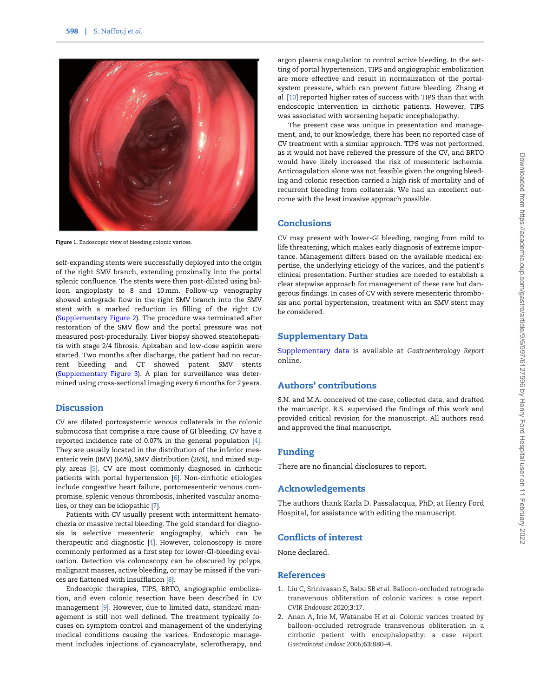<span id="page-2-0"></span>

Figure 1. Endoscopic view of bleeding colonic varices.

self-expanding stents were successfully deployed into the origin of the right SMV branch, extending proximally into the portal splenic confluence. The stents were then post-dilated using balloon angioplasty to 8 and 10 mm. Follow-up venography showed antegrade flow in the right SMV branch into the SMV stent with a marked reduction in filling of the right CV [\(Supplementary Figure 2](https://academic.oup.com/gastro/article-lookup/doi/10.1093/gastro/goab003#supplementary-data)). The procedure was terminated after restoration of the SMV flow and the portal pressure was not measured post-procedurally. Liver biopsy showed steatohepatitis with stage 2/4 fibrosis. Apixaban and low-dose aspirin were started. Two months after discharge, the patient had no recurrent bleeding and CT showed patent SMV stents [\(Supplementary Figure 3](https://academic.oup.com/gastro/article-lookup/doi/10.1093/gastro/goab003#supplementary-data)). A plan for surveillance was determined using cross-sectional imaging every 6 months for 2 years.

#### **Discussion**

CV are dilated portosystemic venous collaterals in the colonic submucosa that comprise a rare cause of GI bleeding. CV have a reported incidence rate of 0.07% in the general population [[4\]](#page-3-0). They are usually located in the distribution of the inferior mesenteric vein (IMV) (66%), SMV distribution (26%), and mixed supply areas [\[5\]](#page-3-0). CV are most commonly diagnosed in cirrhotic patients with portal hypertension [\[6](#page-3-0)]. Non-cirrhotic etiologies include congestive heart failure, portomesenteric venous compromise, splenic venous thrombosis, inherited vascular anomalies, or they can be idiopathic [[7](#page-3-0)].

Patients with CV usually present with intermittent hematochezia or massive rectal bleeding. The gold standard for diagnosis is selective mesenteric angiography, which can be therapeutic and diagnostic [[4\]](#page-3-0). However, colonoscopy is more commonly performed as a first step for lower-GI-bleeding evaluation. Detection via colonoscopy can be obscured by polyps, malignant masses, active bleeding, or may be missed if the varices are flattened with insufflation [[8\]](#page-3-0).

Endoscopic therapies, TIPS, BRTO, angiographic embolization, and even colonic resection have been described in CV management [\[9](#page-3-0)]. However, due to limited data, standard management is still not well defined. The treatment typically focuses on symptom control and management of the underlying medical conditions causing the varices. Endoscopic management includes injections of cyanoacrylate, sclerotherapy, and argon plasma coagulation to control active bleeding. In the setting of portal hypertension, TIPS and angiographic embolization are more effective and result in normalization of the portalsystem pressure, which can prevent future bleeding. Zhang et al. [[10](#page-3-0)] reported higher rates of success with TIPS than that with endoscopic intervention in cirrhotic patients. However, TIPS was associated with worsening hepatic encephalopathy.

The present case was unique in presentation and management, and, to our knowledge, there has been no reported case of CV treatment with a similar approach. TIPS was not performed, as it would not have relieved the pressure of the CV, and BRTO would have likely increased the risk of mesenteric ischemia. Anticoagulation alone was not feasible given the ongoing bleeding and colonic resection carried a high risk of mortality and of recurrent bleeding from collaterals. We had an excellent outcome with the least invasive approach possible.

#### Conclusions

CV may present with lower-GI bleeding, ranging from mild to life threatening, which makes early diagnosis of extreme importance. Management differs based on the available medical expertise, the underlying etiology of the varices, and the patient's clinical presentation. Further studies are needed to establish a clear stepwise approach for management of these rare but dangerous findings. In cases of CV with severe mesenteric thrombosis and portal hypertension, treatment with an SMV stent may be considered.

#### Supplementary Data

[Supplementary data](https://academic.oup.com/gastro/article-lookup/doi/10.1093/gastro/goab003#supplementary-data) is available at Gastroenterology Report online.

#### Authors' contributions

S.N. and M.A. conceived of the case, collected data, and drafted the manuscript. R.S. supervised the findings of this work and provided critical revision for the manuscript. All authors read and approved the final manuscript.

#### Funding

There are no financial disclosures to report.

#### Acknowledgements

The authors thank Karla D. Passalacqua, PhD, at Henry Ford Hospital, for assistance with editing the manuscript.

#### Conflicts of interest

None declared.

#### **References**

- [1](#page-1-0). Liu C, Srinivasan S, Babu SB et al. Balloon-occluded retrograde transvenous obliteration of colonic varices: a case report. CVIR Endovasc 2020;3:17.
- [2](#page-1-0). Anan A, Irie M, Watanabe H et al. Colonic varices treated by balloon-occluded retrograde transvenous obliteration in a cirrhotic patient with encephalopathy: a case report. Gastrointest Endosc 2006;63:880–4.